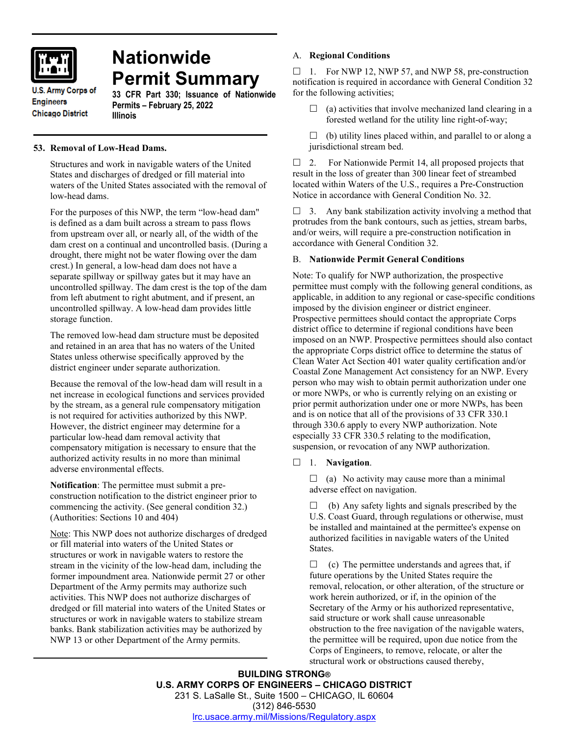

# **Nationwide Permit Summary**

**U.S. Army Corps of Engineers Chicago District** 

### **33 CFR Part 330; Issuance of Nationwide Permits – February 25, 2022 Illinois**

## **53. Removal of Low-Head Dams.**

Structures and work in navigable waters of the United States and discharges of dredged or fill material into waters of the United States associated with the removal of low-head dams.

For the purposes of this NWP, the term "low-head dam" is defined as a dam built across a stream to pass flows from upstream over all, or nearly all, of the width of the dam crest on a continual and uncontrolled basis. (During a drought, there might not be water flowing over the dam crest.) In general, a low-head dam does not have a separate spillway or spillway gates but it may have an uncontrolled spillway. The dam crest is the top of the dam from left abutment to right abutment, and if present, an uncontrolled spillway. A low-head dam provides little storage function.

The removed low-head dam structure must be deposited and retained in an area that has no waters of the United States unless otherwise specifically approved by the district engineer under separate authorization.

Because the removal of the low-head dam will result in a net increase in ecological functions and services provided by the stream, as a general rule compensatory mitigation is not required for activities authorized by this NWP. However, the district engineer may determine for a particular low-head dam removal activity that compensatory mitigation is necessary to ensure that the authorized activity results in no more than minimal adverse environmental effects.

**Notification**: The permittee must submit a preconstruction notification to the district engineer prior to commencing the activity. (See general condition 32.) (Authorities: Sections 10 and 404)

Note: This NWP does not authorize discharges of dredged or fill material into waters of the United States or structures or work in navigable waters to restore the stream in the vicinity of the low-head dam, including the former impoundment area. Nationwide permit 27 or other Department of the Army permits may authorize such activities. This NWP does not authorize discharges of dredged or fill material into waters of the United States or structures or work in navigable waters to stabilize stream banks. Bank stabilization activities may be authorized by NWP 13 or other Department of the Army permits.

## A. **Regional Conditions**

 $\Box$  1. For NWP 12, NWP 57, and NWP 58, pre-construction notification is required in accordance with General Condition 32 for the following activities;

- $\Box$  (a) activities that involve mechanized land clearing in a forested wetland for the utility line right-of-way;
- $\Box$  (b) utility lines placed within, and parallel to or along a jurisdictional stream bed.

 $\Box$  2. For Nationwide Permit 14, all proposed projects that result in the loss of greater than 300 linear feet of streambed located within Waters of the U.S., requires a Pre-Construction Notice in accordance with General Condition No. 32.

 $\Box$  3. Any bank stabilization activity involving a method that protrudes from the bank contours, such as jetties, stream barbs, and/or weirs, will require a pre-construction notification in accordance with General Condition 32.

## B. **Nationwide Permit General Conditions**

Note: To qualify for NWP authorization, the prospective permittee must comply with the following general conditions, as applicable, in addition to any regional or case-specific conditions imposed by the division engineer or district engineer. Prospective permittees should contact the appropriate Corps district office to determine if regional conditions have been imposed on an NWP. Prospective permittees should also contact the appropriate Corps district office to determine the status of Clean Water Act Section 401 water quality certification and/or Coastal Zone Management Act consistency for an NWP. Every person who may wish to obtain permit authorization under one or more NWPs, or who is currently relying on an existing or prior permit authorization under one or more NWPs, has been and is on notice that all of the provisions of 33 CFR 330.1 through 330.6 apply to every NWP authorization. Note especially 33 CFR 330.5 relating to the modification, suspension, or revocation of any NWP authorization.

1. **Navigation**.

 $\Box$  (a) No activity may cause more than a minimal adverse effect on navigation.

 $\Box$  (b) Any safety lights and signals prescribed by the U.S. Coast Guard, through regulations or otherwise, must be installed and maintained at the permittee's expense on authorized facilities in navigable waters of the United States.

 $\Box$  (c) The permittee understands and agrees that, if future operations by the United States require the removal, relocation, or other alteration, of the structure or work herein authorized, or if, in the opinion of the Secretary of the Army or his authorized representative, said structure or work shall cause unreasonable obstruction to the free navigation of the navigable waters, the permittee will be required, upon due notice from the Corps of Engineers, to remove, relocate, or alter the structural work or obstructions caused thereby,

**BUILDING STRONG® U.S. ARMY CORPS OF ENGINEERS – CHICAGO DISTRICT** 231 S. LaSalle St., Suite 1500 – CHICAGO, IL 60604 (312) 846-5530 [lrc.usace.army.mil/Missions/Regulatory.aspx](https://www.lrc.usace.army.mil/Missions/Regulatory.aspx)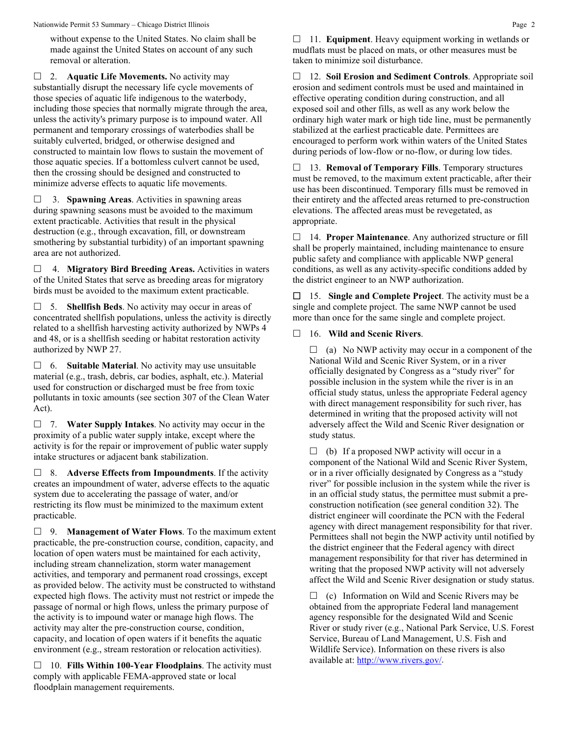without expense to the United States. No claim shall be made against the United States on account of any such removal or alteration.

 2. **Aquatic Life Movements.** No activity may substantially disrupt the necessary life cycle movements of those species of aquatic life indigenous to the waterbody, including those species that normally migrate through the area, unless the activity's primary purpose is to impound water. All permanent and temporary crossings of waterbodies shall be suitably culverted, bridged, or otherwise designed and constructed to maintain low flows to sustain the movement of those aquatic species. If a bottomless culvert cannot be used, then the crossing should be designed and constructed to minimize adverse effects to aquatic life movements.

 3. **Spawning Areas**. Activities in spawning areas during spawning seasons must be avoided to the maximum extent practicable. Activities that result in the physical destruction (e.g., through excavation, fill, or downstream smothering by substantial turbidity) of an important spawning area are not authorized.

 4. **Migratory Bird Breeding Areas.** Activities in waters of the United States that serve as breeding areas for migratory birds must be avoided to the maximum extent practicable.

 5. **Shellfish Beds**. No activity may occur in areas of concentrated shellfish populations, unless the activity is directly related to a shellfish harvesting activity authorized by NWPs 4 and 48, or is a shellfish seeding or habitat restoration activity authorized by NWP 27.

 6. **Suitable Material**. No activity may use unsuitable material (e.g., trash, debris, car bodies, asphalt, etc.). Material used for construction or discharged must be free from toxic pollutants in toxic amounts (see section 307 of the Clean Water Act).

 7. **Water Supply Intakes**. No activity may occur in the proximity of a public water supply intake, except where the activity is for the repair or improvement of public water supply intake structures or adjacent bank stabilization.

 8. **Adverse Effects from Impoundments**. If the activity creates an impoundment of water, adverse effects to the aquatic system due to accelerating the passage of water, and/or restricting its flow must be minimized to the maximum extent practicable.

 9. **Management of Water Flows**. To the maximum extent practicable, the pre-construction course, condition, capacity, and location of open waters must be maintained for each activity, including stream channelization, storm water management activities, and temporary and permanent road crossings, except as provided below. The activity must be constructed to withstand expected high flows. The activity must not restrict or impede the passage of normal or high flows, unless the primary purpose of the activity is to impound water or manage high flows. The activity may alter the pre-construction course, condition, capacity, and location of open waters if it benefits the aquatic environment (e.g., stream restoration or relocation activities).

 10. **Fills Within 100-Year Floodplains**. The activity must comply with applicable FEMA-approved state or local floodplain management requirements.

□ 11. **Equipment**. Heavy equipment working in wetlands or mudflats must be placed on mats, or other measures must be taken to minimize soil disturbance.

 12. **Soil Erosion and Sediment Controls**. Appropriate soil erosion and sediment controls must be used and maintained in effective operating condition during construction, and all exposed soil and other fills, as well as any work below the ordinary high water mark or high tide line, must be permanently stabilized at the earliest practicable date. Permittees are encouraged to perform work within waters of the United States during periods of low-flow or no-flow, or during low tides.

 13. **Removal of Temporary Fills**. Temporary structures must be removed, to the maximum extent practicable, after their use has been discontinued. Temporary fills must be removed in their entirety and the affected areas returned to pre-construction elevations. The affected areas must be revegetated, as appropriate.

 14. **Proper Maintenance**. Any authorized structure or fill shall be properly maintained, including maintenance to ensure public safety and compliance with applicable NWP general conditions, as well as any activity-specific conditions added by the district engineer to an NWP authorization.

 15. **Single and Complete Project**. The activity must be a single and complete project. The same NWP cannot be used more than once for the same single and complete project.

## 16. **Wild and Scenic Rivers**.

 $\Box$  (a) No NWP activity may occur in a component of the National Wild and Scenic River System, or in a river officially designated by Congress as a "study river" for possible inclusion in the system while the river is in an official study status, unless the appropriate Federal agency with direct management responsibility for such river, has determined in writing that the proposed activity will not adversely affect the Wild and Scenic River designation or study status.

 $\Box$  (b) If a proposed NWP activity will occur in a component of the National Wild and Scenic River System, or in a river officially designated by Congress as a "study river" for possible inclusion in the system while the river is in an official study status, the permittee must submit a preconstruction notification (see general condition 32). The district engineer will coordinate the PCN with the Federal agency with direct management responsibility for that river. Permittees shall not begin the NWP activity until notified by the district engineer that the Federal agency with direct management responsibility for that river has determined in writing that the proposed NWP activity will not adversely affect the Wild and Scenic River designation or study status.

 $\Box$  (c) Information on Wild and Scenic Rivers may be obtained from the appropriate Federal land management agency responsible for the designated Wild and Scenic River or study river (e.g., National Park Service, U.S. Forest Service, Bureau of Land Management, U.S. Fish and Wildlife Service). Information on these rivers is also available at: [http://www.rivers.gov/.](http://www.rivers.gov/)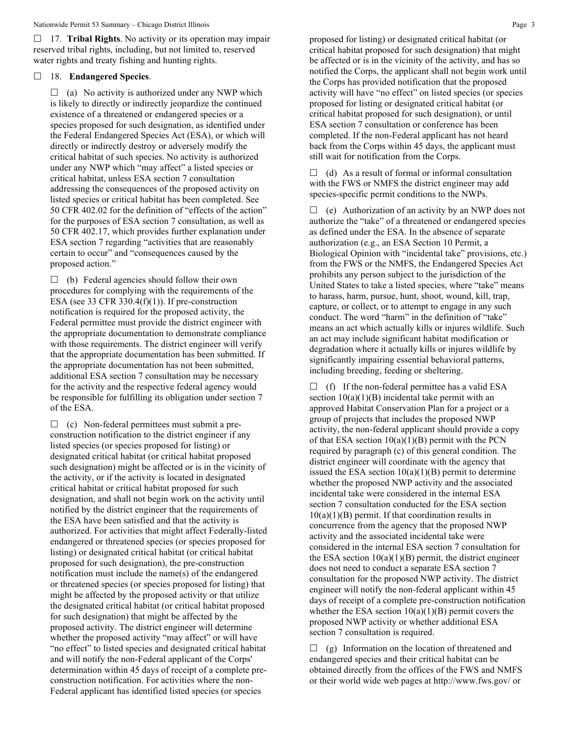17. **Tribal Rights**. No activity or its operation may impair reserved tribal rights, including, but not limited to, reserved water rights and treaty fishing and hunting rights.

## 18. **Endangered Species**.

 $\Box$  (a) No activity is authorized under any NWP which is likely to directly or indirectly jeopardize the continued existence of a threatened or endangered species or a species proposed for such designation, as identified under the Federal Endangered Species Act (ESA), or which will directly or indirectly destroy or adversely modify the critical habitat of such species. No activity is authorized under any NWP which "may affect" a listed species or critical habitat, unless ESA section 7 consultation addressing the consequences of the proposed activity on listed species or critical habitat has been completed. See 50 CFR 402.02 for the definition of "effects of the action" for the purposes of ESA section 7 consultation, as well as 50 CFR 402.17, which provides further explanation under ESA section 7 regarding "activities that are reasonably certain to occur" and "consequences caused by the proposed action."

 $\Box$  (b) Federal agencies should follow their own procedures for complying with the requirements of the ESA (see 33 CFR 330.4 $(f)(1)$ ). If pre-construction notification is required for the proposed activity, the Federal permittee must provide the district engineer with the appropriate documentation to demonstrate compliance with those requirements. The district engineer will verify that the appropriate documentation has been submitted. If the appropriate documentation has not been submitted, additional ESA section 7 consultation may be necessary for the activity and the respective federal agency would be responsible for fulfilling its obligation under section 7 of the ESA.

 $\Box$  (c) Non-federal permittees must submit a preconstruction notification to the district engineer if any listed species (or species proposed for listing) or designated critical habitat (or critical habitat proposed such designation) might be affected or is in the vicinity of the activity, or if the activity is located in designated critical habitat or critical habitat proposed for such designation, and shall not begin work on the activity until notified by the district engineer that the requirements of the ESA have been satisfied and that the activity is authorized. For activities that might affect Federally-listed endangered or threatened species (or species proposed for listing) or designated critical habitat (or critical habitat proposed for such designation), the pre-construction notification must include the name(s) of the endangered or threatened species (or species proposed for listing) that might be affected by the proposed activity or that utilize the designated critical habitat (or critical habitat proposed for such designation) that might be affected by the proposed activity. The district engineer will determine whether the proposed activity "may affect" or will have "no effect" to listed species and designated critical habitat and will notify the non-Federal applicant of the Corps' determination within 45 days of receipt of a complete preconstruction notification. For activities where the non-Federal applicant has identified listed species (or species

proposed for listing) or designated critical habitat (or critical habitat proposed for such designation) that might be affected or is in the vicinity of the activity, and has so notified the Corps, the applicant shall not begin work until the Corps has provided notification that the proposed activity will have "no effect" on listed species (or species proposed for listing or designated critical habitat (or critical habitat proposed for such designation), or until ESA section 7 consultation or conference has been completed. If the non-Federal applicant has not heard back from the Corps within 45 days, the applicant must still wait for notification from the Corps.

 $\Box$  (d) As a result of formal or informal consultation with the FWS or NMFS the district engineer may add species-specific permit conditions to the NWPs.

 $\Box$  (e) Authorization of an activity by an NWP does not authorize the "take" of a threatened or endangered species as defined under the ESA. In the absence of separate authorization (e.g., an ESA Section 10 Permit, a Biological Opinion with "incidental take" provisions, etc.) from the FWS or the NMFS, the Endangered Species Act prohibits any person subject to the jurisdiction of the United States to take a listed species, where "take" means to harass, harm, pursue, hunt, shoot, wound, kill, trap, capture, or collect, or to attempt to engage in any such conduct. The word "harm" in the definition of "take" means an act which actually kills or injures wildlife. Such an act may include significant habitat modification or degradation where it actually kills or injures wildlife by significantly impairing essential behavioral patterns, including breeding, feeding or sheltering.

 $\Box$  (f) If the non-federal permittee has a valid ESA section  $10(a)(1)(B)$  incidental take permit with an approved Habitat Conservation Plan for a project or a group of projects that includes the proposed NWP activity, the non-federal applicant should provide a copy of that ESA section  $10(a)(1)(B)$  permit with the PCN required by paragraph (c) of this general condition. The district engineer will coordinate with the agency that issued the ESA section  $10(a)(1)(B)$  permit to determine whether the proposed NWP activity and the associated incidental take were considered in the internal ESA section 7 consultation conducted for the ESA section  $10(a)(1)(B)$  permit. If that coordination results in concurrence from the agency that the proposed NWP activity and the associated incidental take were considered in the internal ESA section 7 consultation for the ESA section  $10(a)(1)(B)$  permit, the district engineer does not need to conduct a separate ESA section 7 consultation for the proposed NWP activity. The district engineer will notify the non-federal applicant within 45 days of receipt of a complete pre-construction notification whether the ESA section  $10(a)(1)(B)$  permit covers the proposed NWP activity or whether additional ESA section 7 consultation is required.

 $\Box$  (g) Information on the location of threatened and endangered species and their critical habitat can be obtained directly from the offices of the FWS and NMFS or their world wide web pages at http://www.fws.gov/ or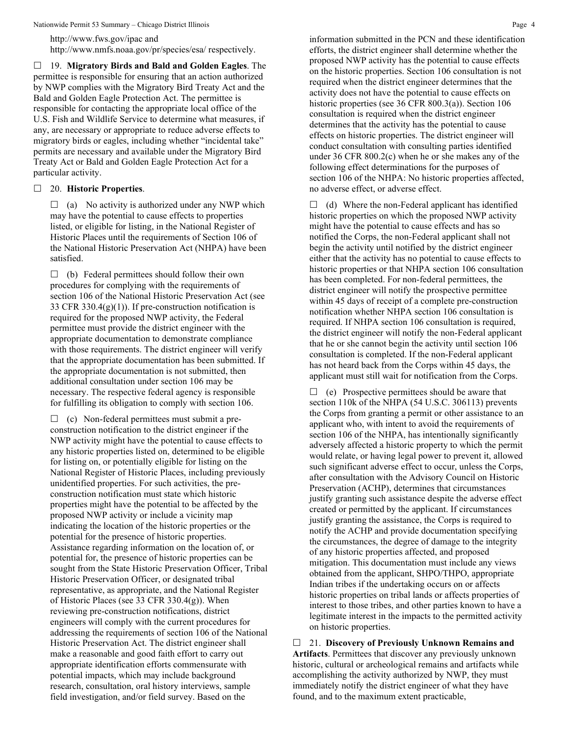Nationwide Permit 53 Summary – Chicago District Illinois **Page 4** and the *Page 4* and the *Page 4* and the *Page 4* and the *Page 4* and the *Page 4* and the *Page 4* and the *Page 4* and the *Page 4* and the *Page 4* and

http://www.fws.gov/ipac and http://www.nmfs.noaa.gov/pr/species/esa/ respectively.

 19. **Migratory Birds and Bald and Golden Eagles**. The permittee is responsible for ensuring that an action authorized by NWP complies with the Migratory Bird Treaty Act and the Bald and Golden Eagle Protection Act. The permittee is responsible for contacting the appropriate local office of the U.S. Fish and Wildlife Service to determine what measures, if any, are necessary or appropriate to reduce adverse effects to migratory birds or eagles, including whether "incidental take" permits are necessary and available under the Migratory Bird Treaty Act or Bald and Golden Eagle Protection Act for a particular activity.

## 20. **Historic Properties**.

 $\Box$  (a) No activity is authorized under any NWP which may have the potential to cause effects to properties listed, or eligible for listing, in the National Register of Historic Places until the requirements of Section 106 of the National Historic Preservation Act (NHPA) have been satisfied.

 $\Box$  (b) Federal permittees should follow their own procedures for complying with the requirements of section 106 of the National Historic Preservation Act (see 33 CFR 330.4 $(g)(1)$ ). If pre-construction notification is required for the proposed NWP activity, the Federal permittee must provide the district engineer with the appropriate documentation to demonstrate compliance with those requirements. The district engineer will verify that the appropriate documentation has been submitted. If the appropriate documentation is not submitted, then additional consultation under section 106 may be necessary. The respective federal agency is responsible for fulfilling its obligation to comply with section 106.

 $\Box$  (c) Non-federal permittees must submit a preconstruction notification to the district engineer if the NWP activity might have the potential to cause effects to any historic properties listed on, determined to be eligible for listing on, or potentially eligible for listing on the National Register of Historic Places, including previously unidentified properties. For such activities, the preconstruction notification must state which historic properties might have the potential to be affected by the proposed NWP activity or include a vicinity map indicating the location of the historic properties or the potential for the presence of historic properties. Assistance regarding information on the location of, or potential for, the presence of historic properties can be sought from the State Historic Preservation Officer, Tribal Historic Preservation Officer, or designated tribal representative, as appropriate, and the National Register of Historic Places (see 33 CFR 330.4(g)). When reviewing pre-construction notifications, district engineers will comply with the current procedures for addressing the requirements of section 106 of the National Historic Preservation Act. The district engineer shall make a reasonable and good faith effort to carry out appropriate identification efforts commensurate with potential impacts, which may include background research, consultation, oral history interviews, sample field investigation, and/or field survey. Based on the

information submitted in the PCN and these identification efforts, the district engineer shall determine whether the proposed NWP activity has the potential to cause effects on the historic properties. Section 106 consultation is not required when the district engineer determines that the activity does not have the potential to cause effects on historic properties (see 36 CFR 800.3(a)). Section 106 consultation is required when the district engineer determines that the activity has the potential to cause effects on historic properties. The district engineer will conduct consultation with consulting parties identified under 36 CFR 800.2(c) when he or she makes any of the following effect determinations for the purposes of section 106 of the NHPA: No historic properties affected, no adverse effect, or adverse effect.

 $\Box$  (d) Where the non-Federal applicant has identified historic properties on which the proposed NWP activity might have the potential to cause effects and has so notified the Corps, the non-Federal applicant shall not begin the activity until notified by the district engineer either that the activity has no potential to cause effects to historic properties or that NHPA section 106 consultation has been completed. For non-federal permittees, the district engineer will notify the prospective permittee within 45 days of receipt of a complete pre-construction notification whether NHPA section 106 consultation is required. If NHPA section 106 consultation is required, the district engineer will notify the non-Federal applicant that he or she cannot begin the activity until section 106 consultation is completed. If the non-Federal applicant has not heard back from the Corps within 45 days, the applicant must still wait for notification from the Corps.

 $\Box$  (e) Prospective permittees should be aware that section 110k of the NHPA (54 U.S.C. 306113) prevents the Corps from granting a permit or other assistance to an applicant who, with intent to avoid the requirements of section 106 of the NHPA, has intentionally significantly adversely affected a historic property to which the permit would relate, or having legal power to prevent it, allowed such significant adverse effect to occur, unless the Corps, after consultation with the Advisory Council on Historic Preservation (ACHP), determines that circumstances justify granting such assistance despite the adverse effect created or permitted by the applicant. If circumstances justify granting the assistance, the Corps is required to notify the ACHP and provide documentation specifying the circumstances, the degree of damage to the integrity of any historic properties affected, and proposed mitigation. This documentation must include any views obtained from the applicant, SHPO/THPO, appropriate Indian tribes if the undertaking occurs on or affects historic properties on tribal lands or affects properties of interest to those tribes, and other parties known to have a legitimate interest in the impacts to the permitted activity on historic properties.

 21. **Discovery of Previously Unknown Remains and Artifacts**. Permittees that discover any previously unknown historic, cultural or archeological remains and artifacts while accomplishing the activity authorized by NWP, they must immediately notify the district engineer of what they have found, and to the maximum extent practicable,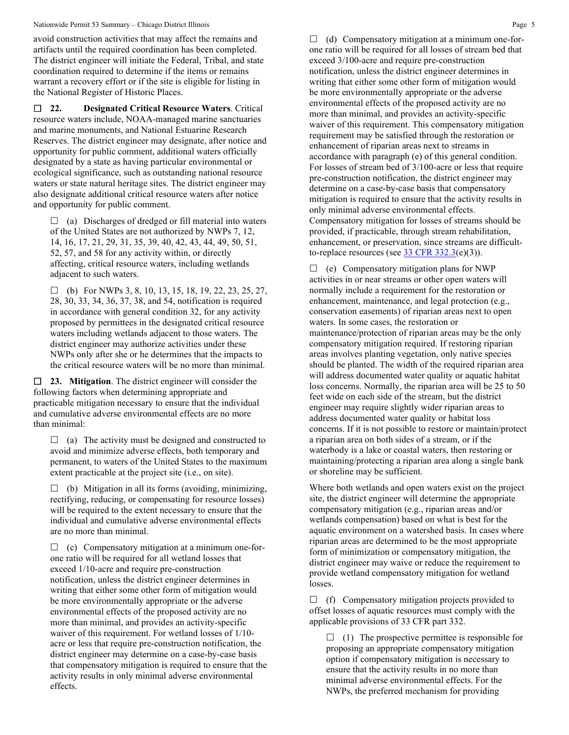#### Nationwide Permit 53 Summary – Chicago District Illinois **Page 5** All the State of the State of the State of the State of the State of the State of the State of the State of the State of the State of the State of the State

avoid construction activities that may affect the remains and artifacts until the required coordination has been completed. The district engineer will initiate the Federal, Tribal, and state coordination required to determine if the items or remains warrant a recovery effort or if the site is eligible for listing in the National Register of Historic Places.

 **22. Designated Critical Resource Waters**. Critical resource waters include, NOAA-managed marine sanctuaries and marine monuments, and National Estuarine Research Reserves. The district engineer may designate, after notice and opportunity for public comment, additional waters officially designated by a state as having particular environmental or ecological significance, such as outstanding national resource waters or state natural heritage sites. The district engineer may also designate additional critical resource waters after notice and opportunity for public comment.

 $\Box$  (a) Discharges of dredged or fill material into waters of the United States are not authorized by NWPs 7, 12, 14, 16, 17, 21, 29, 31, 35, 39, 40, 42, 43, 44, 49, 50, 51, 52, 57, and 58 for any activity within, or directly affecting, critical resource waters, including wetlands adjacent to such waters.

 $\Box$  (b) For NWPs 3, 8, 10, 13, 15, 18, 19, 22, 23, 25, 27, 28, 30, 33, 34, 36, 37, 38, and 54, notification is required in accordance with general condition 32, for any activity proposed by permittees in the designated critical resource waters including wetlands adjacent to those waters. The district engineer may authorize activities under these NWPs only after she or he determines that the impacts to the critical resource waters will be no more than minimal.

 **23. Mitigation**. The district engineer will consider the following factors when determining appropriate and practicable mitigation necessary to ensure that the individual and cumulative adverse environmental effects are no more than minimal:

 $\Box$  (a) The activity must be designed and constructed to avoid and minimize adverse effects, both temporary and permanent, to waters of the United States to the maximum extent practicable at the project site (i.e., on site).

 $\Box$  (b) Mitigation in all its forms (avoiding, minimizing, rectifying, reducing, or compensating for resource losses) will be required to the extent necessary to ensure that the individual and cumulative adverse environmental effects are no more than minimal.

 $\Box$  (c) Compensatory mitigation at a minimum one-forone ratio will be required for all wetland losses that exceed 1/10-acre and require pre-construction notification, unless the district engineer determines in writing that either some other form of mitigation would be more environmentally appropriate or the adverse environmental effects of the proposed activity are no more than minimal, and provides an activity-specific waiver of this requirement. For wetland losses of 1/10 acre or less that require pre-construction notification, the district engineer may determine on a case-by-case basis that compensatory mitigation is required to ensure that the activity results in only minimal adverse environmental effects.

 $\Box$  (d) Compensatory mitigation at a minimum one-forone ratio will be required for all losses of stream bed that exceed 3/100-acre and require pre-construction notification, unless the district engineer determines in writing that either some other form of mitigation would be more environmentally appropriate or the adverse environmental effects of the proposed activity are no more than minimal, and provides an activity-specific waiver of this requirement. This compensatory mitigation requirement may be satisfied through the restoration or enhancement of riparian areas next to streams in accordance with paragraph (e) of this general condition. For losses of stream bed of 3/100-acre or less that require pre-construction notification, the district engineer may determine on a case-by-case basis that compensatory mitigation is required to ensure that the activity results in only minimal adverse environmental effects. Compensatory mitigation for losses of streams should be provided, if practicable, through stream rehabilitation, enhancement, or preservation, since streams are difficultto-replace resources (see  $33 \text{ CFR } 332.3(e)(3)$ ).

 $\Box$  (e) Compensatory mitigation plans for NWP activities in or near streams or other open waters will normally include a requirement for the restoration or enhancement, maintenance, and legal protection (e.g., conservation easements) of riparian areas next to open waters. In some cases, the restoration or maintenance/protection of riparian areas may be the only compensatory mitigation required. If restoring riparian areas involves planting vegetation, only native species should be planted. The width of the required riparian area will address documented water quality or aquatic habitat loss concerns. Normally, the riparian area will be 25 to 50 feet wide on each side of the stream, but the district engineer may require slightly wider riparian areas to address documented water quality or habitat loss concerns. If it is not possible to restore or maintain/protect a riparian area on both sides of a stream, or if the waterbody is a lake or coastal waters, then restoring or maintaining/protecting a riparian area along a single bank or shoreline may be sufficient.

Where both wetlands and open waters exist on the project site, the district engineer will determine the appropriate compensatory mitigation (e.g., riparian areas and/or wetlands compensation) based on what is best for the aquatic environment on a watershed basis. In cases where riparian areas are determined to be the most appropriate form of minimization or compensatory mitigation, the district engineer may waive or reduce the requirement to provide wetland compensatory mitigation for wetland losses.

 $\Box$  (f) Compensatory mitigation projects provided to offset losses of aquatic resources must comply with the applicable provisions of 33 CFR part 332.

 $\Box$  (1) The prospective permittee is responsible for proposing an appropriate compensatory mitigation option if compensatory mitigation is necessary to ensure that the activity results in no more than minimal adverse environmental effects. For the NWPs, the preferred mechanism for providing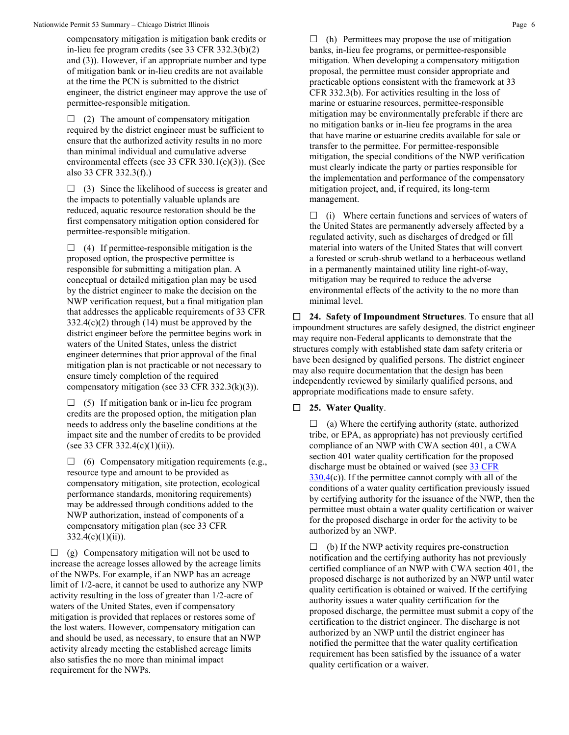Nationwide Permit 53 Summary – Chicago District Illinois **Page 6** And the *Page 6* Page 6 Page 6 Page 6 Page 6 Page 6 Page 6 Page 6 Page 6 Page 6 Page 6 Page 6 Page 6 Page 6 Page 6 Page 6 Page 7 Page 6 Page 7 Page 7 Page 7

compensatory mitigation is mitigation bank credits or in-lieu fee program credits (see 33 CFR 332.3(b)(2) and (3)). However, if an appropriate number and type of mitigation bank or in-lieu credits are not available at the time the PCN is submitted to the district engineer, the district engineer may approve the use of permittee-responsible mitigation.

 $\Box$  (2) The amount of compensatory mitigation required by the district engineer must be sufficient to ensure that the authorized activity results in no more than minimal individual and cumulative adverse environmental effects (see 33 CFR 330.1(e)(3)). (See also 33 CFR 332.3(f).)

 $\Box$  (3) Since the likelihood of success is greater and the impacts to potentially valuable uplands are reduced, aquatic resource restoration should be the first compensatory mitigation option considered for permittee-responsible mitigation.

 $\Box$  (4) If permittee-responsible mitigation is the proposed option, the prospective permittee is responsible for submitting a mitigation plan. A conceptual or detailed mitigation plan may be used by the district engineer to make the decision on the NWP verification request, but a final mitigation plan that addresses the applicable requirements of 33 CFR  $332.4(c)(2)$  through (14) must be approved by the district engineer before the permittee begins work in waters of the United States, unless the district engineer determines that prior approval of the final mitigation plan is not practicable or not necessary to ensure timely completion of the required compensatory mitigation (see 33 CFR 332.3(k)(3)).

 $\Box$  (5) If mitigation bank or in-lieu fee program credits are the proposed option, the mitigation plan needs to address only the baseline conditions at the impact site and the number of credits to be provided (see 33 CFR 332.4(c)(1)(ii)).

 $\Box$  (6) Compensatory mitigation requirements (e.g., resource type and amount to be provided as compensatory mitigation, site protection, ecological performance standards, monitoring requirements) may be addressed through conditions added to the NWP authorization, instead of components of a compensatory mitigation plan (see 33 CFR  $332.4(c)(1)(ii)$ ).

 $\Box$  (g) Compensatory mitigation will not be used to increase the acreage losses allowed by the acreage limits of the NWPs. For example, if an NWP has an acreage limit of 1/2-acre, it cannot be used to authorize any NWP activity resulting in the loss of greater than 1/2-acre of waters of the United States, even if compensatory mitigation is provided that replaces or restores some of the lost waters. However, compensatory mitigation can and should be used, as necessary, to ensure that an NWP activity already meeting the established acreage limits also satisfies the no more than minimal impact requirement for the NWPs.

 $\Box$  (h) Permittees may propose the use of mitigation banks, in-lieu fee programs, or permittee-responsible mitigation. When developing a compensatory mitigation proposal, the permittee must consider appropriate and practicable options consistent with the framework at 33 CFR 332.3(b). For activities resulting in the loss of marine or estuarine resources, permittee-responsible mitigation may be environmentally preferable if there are no mitigation banks or in-lieu fee programs in the area that have marine or estuarine credits available for sale or transfer to the permittee. For permittee-responsible mitigation, the special conditions of the NWP verification must clearly indicate the party or parties responsible for the implementation and performance of the compensatory mitigation project, and, if required, its long-term management.

 $\Box$  (i) Where certain functions and services of waters of the United States are permanently adversely affected by a regulated activity, such as discharges of dredged or fill material into waters of the United States that will convert a forested or scrub-shrub wetland to a herbaceous wetland in a permanently maintained utility line right-of-way, mitigation may be required to reduce the adverse environmental effects of the activity to the no more than minimal level.

 **24. Safety of Impoundment Structures**. To ensure that all impoundment structures are safely designed, the district engineer may require non-Federal applicants to demonstrate that the structures comply with established state dam safety criteria or have been designed by qualified persons. The district engineer may also require documentation that the design has been independently reviewed by similarly qualified persons, and appropriate modifications made to ensure safety.

## **25. Water Quality**.

 $\Box$  (a) Where the certifying authority (state, authorized tribe, or EPA, as appropriate) has not previously certified compliance of an NWP with CWA section 401, a CWA section 401 water quality certification for the proposed discharge must be obtained or waived (see 33 CFR [330.4\(](https://www.federalregister.gov/select-citation/2021/01/13/33-CFR-330.4)c)). If the permittee cannot comply with all of the conditions of a water quality certification previously issued by certifying authority for the issuance of the NWP, then the permittee must obtain a water quality certification or waiver for the proposed discharge in order for the activity to be authorized by an NWP.

 $\Box$  (b) If the NWP activity requires pre-construction notification and the certifying authority has not previously certified compliance of an NWP with CWA section 401, the proposed discharge is not authorized by an NWP until water quality certification is obtained or waived. If the certifying authority issues a water quality certification for the proposed discharge, the permittee must submit a copy of the certification to the district engineer. The discharge is not authorized by an NWP until the district engineer has notified the permittee that the water quality certification requirement has been satisfied by the issuance of a water quality certification or a waiver.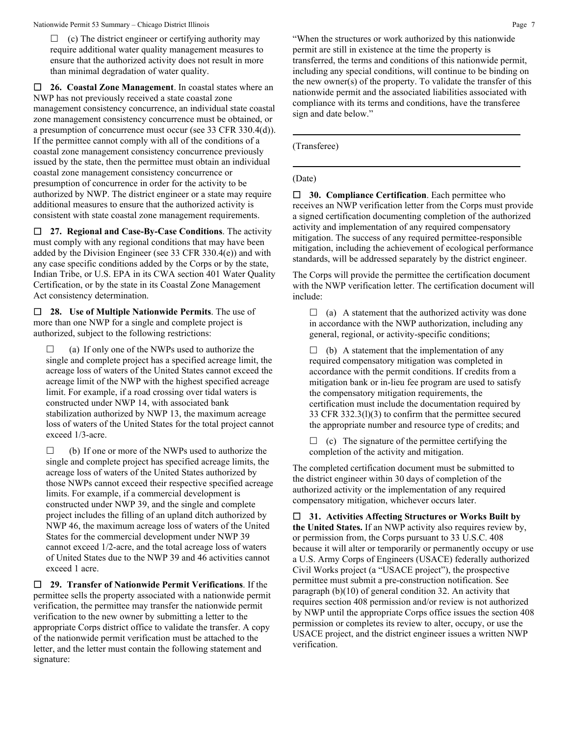$\Box$  (c) The district engineer or certifying authority may require additional water quality management measures to ensure that the authorized activity does not result in more than minimal degradation of water quality.

 **26. Coastal Zone Management**. In coastal states where an NWP has not previously received a state coastal zone management consistency concurrence, an individual state coastal zone management consistency concurrence must be obtained, or a presumption of concurrence must occur (see 33 CFR 330.4(d)). If the permittee cannot comply with all of the conditions of a coastal zone management consistency concurrence previously issued by the state, then the permittee must obtain an individual coastal zone management consistency concurrence or presumption of concurrence in order for the activity to be authorized by NWP. The district engineer or a state may require additional measures to ensure that the authorized activity is consistent with state coastal zone management requirements.

 **27. Regional and Case-By-Case Conditions**. The activity must comply with any regional conditions that may have been added by the Division Engineer (see 33 CFR 330.4(e)) and with any case specific conditions added by the Corps or by the state, Indian Tribe, or U.S. EPA in its CWA section 401 Water Quality Certification, or by the state in its Coastal Zone Management Act consistency determination.

 **28. Use of Multiple Nationwide Permits**. The use of more than one NWP for a single and complete project is authorized, subject to the following restrictions:

 $\Box$  (a) If only one of the NWPs used to authorize the single and complete project has a specified acreage limit, the acreage loss of waters of the United States cannot exceed the acreage limit of the NWP with the highest specified acreage limit. For example, if a road crossing over tidal waters is constructed under NWP 14, with associated bank stabilization authorized by NWP 13, the maximum acreage loss of waters of the United States for the total project cannot exceed 1/3-acre.

 $\Box$  (b) If one or more of the NWPs used to authorize the single and complete project has specified acreage limits, the acreage loss of waters of the United States authorized by those NWPs cannot exceed their respective specified acreage limits. For example, if a commercial development is constructed under NWP 39, and the single and complete project includes the filling of an upland ditch authorized by NWP 46, the maximum acreage loss of waters of the United States for the commercial development under NWP 39 cannot exceed 1/2-acre, and the total acreage loss of waters of United States due to the NWP 39 and 46 activities cannot exceed 1 acre.

 **29. Transfer of Nationwide Permit Verifications**. If the permittee sells the property associated with a nationwide permit verification, the permittee may transfer the nationwide permit verification to the new owner by submitting a letter to the appropriate Corps district office to validate the transfer. A copy of the nationwide permit verification must be attached to the letter, and the letter must contain the following statement and signature:

"When the structures or work authorized by this nationwide permit are still in existence at the time the property is transferred, the terms and conditions of this nationwide permit, including any special conditions, will continue to be binding on the new owner(s) of the property. To validate the transfer of this nationwide permit and the associated liabilities associated with compliance with its terms and conditions, have the transferee sign and date below."

(Transferee)

## (Date)

 **30. Compliance Certification**. Each permittee who receives an NWP verification letter from the Corps must provide a signed certification documenting completion of the authorized activity and implementation of any required compensatory mitigation. The success of any required permittee-responsible mitigation, including the achievement of ecological performance standards, will be addressed separately by the district engineer.

The Corps will provide the permittee the certification document with the NWP verification letter. The certification document will include:

 $\Box$  (a) A statement that the authorized activity was done in accordance with the NWP authorization, including any general, regional, or activity-specific conditions;

 $\Box$  (b) A statement that the implementation of any required compensatory mitigation was completed in accordance with the permit conditions. If credits from a mitigation bank or in-lieu fee program are used to satisfy the compensatory mitigation requirements, the certification must include the documentation required by 33 CFR 332.3(l)(3) to confirm that the permittee secured the appropriate number and resource type of credits; and

 $\Box$  (c) The signature of the permittee certifying the completion of the activity and mitigation.

The completed certification document must be submitted to the district engineer within 30 days of completion of the authorized activity or the implementation of any required compensatory mitigation, whichever occurs later.

 **31. Activities Affecting Structures or Works Built by the United States.** If an NWP activity also requires review by, or permission from, the Corps pursuant to 33 U.S.C. 408 because it will alter or temporarily or permanently occupy or use a U.S. Army Corps of Engineers (USACE) federally authorized Civil Works project (a "USACE project"), the prospective permittee must submit a pre-construction notification. See paragraph (b)(10) of general condition 32. An activity that requires section 408 permission and/or review is not authorized by NWP until the appropriate Corps office issues the section 408 permission or completes its review to alter, occupy, or use the USACE project, and the district engineer issues a written NWP verification.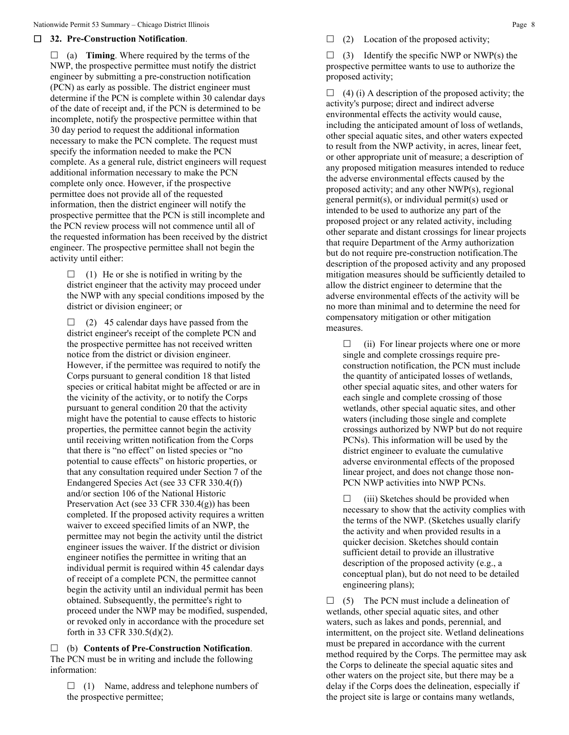### **32. Pre-Construction Notification**.

 $\Box$  (a) **Timing**. Where required by the terms of the NWP, the prospective permittee must notify the district engineer by submitting a pre-construction notification (PCN) as early as possible. The district engineer must determine if the PCN is complete within 30 calendar days of the date of receipt and, if the PCN is determined to be incomplete, notify the prospective permittee within that 30 day period to request the additional information necessary to make the PCN complete. The request must specify the information needed to make the PCN complete. As a general rule, district engineers will request additional information necessary to make the PCN complete only once. However, if the prospective permittee does not provide all of the requested information, then the district engineer will notify the prospective permittee that the PCN is still incomplete and the PCN review process will not commence until all of the requested information has been received by the district engineer. The prospective permittee shall not begin the activity until either:

 $\Box$  (1) He or she is notified in writing by the district engineer that the activity may proceed under the NWP with any special conditions imposed by the district or division engineer; or

 $\Box$  (2) 45 calendar days have passed from the district engineer's receipt of the complete PCN and the prospective permittee has not received written notice from the district or division engineer. However, if the permittee was required to notify the Corps pursuant to general condition 18 that listed species or critical habitat might be affected or are in the vicinity of the activity, or to notify the Corps pursuant to general condition 20 that the activity might have the potential to cause effects to historic properties, the permittee cannot begin the activity until receiving written notification from the Corps that there is "no effect" on listed species or "no potential to cause effects" on historic properties, or that any consultation required under Section 7 of the Endangered Species Act (see 33 CFR 330.4(f)) and/or section 106 of the National Historic Preservation Act (see 33 CFR 330.4(g)) has been completed. If the proposed activity requires a written waiver to exceed specified limits of an NWP, the permittee may not begin the activity until the district engineer issues the waiver. If the district or division engineer notifies the permittee in writing that an individual permit is required within 45 calendar days of receipt of a complete PCN, the permittee cannot begin the activity until an individual permit has been obtained. Subsequently, the permittee's right to proceed under the NWP may be modified, suspended, or revoked only in accordance with the procedure set forth in 33 CFR 330.5(d)(2).

 (b) **Contents of Pre-Construction Notification**. The PCN must be in writing and include the following information:

 $\Box$  (1) Name, address and telephone numbers of the prospective permittee;

 $\Box$  (2) Location of the proposed activity;

 $\Box$  (3) Identify the specific NWP or NWP(s) the prospective permittee wants to use to authorize the proposed activity;

 $\Box$  (4) (i) A description of the proposed activity; the activity's purpose; direct and indirect adverse environmental effects the activity would cause, including the anticipated amount of loss of wetlands, other special aquatic sites, and other waters expected to result from the NWP activity, in acres, linear feet, or other appropriate unit of measure; a description of any proposed mitigation measures intended to reduce the adverse environmental effects caused by the proposed activity; and any other NWP(s), regional general permit(s), or individual permit(s) used or intended to be used to authorize any part of the proposed project or any related activity, including other separate and distant crossings for linear projects that require Department of the Army authorization but do not require pre-construction notification.The description of the proposed activity and any proposed mitigation measures should be sufficiently detailed to allow the district engineer to determine that the adverse environmental effects of the activity will be no more than minimal and to determine the need for compensatory mitigation or other mitigation measures.

 $\Box$  (ii) For linear projects where one or more single and complete crossings require preconstruction notification, the PCN must include the quantity of anticipated losses of wetlands, other special aquatic sites, and other waters for each single and complete crossing of those wetlands, other special aquatic sites, and other waters (including those single and complete crossings authorized by NWP but do not require PCNs). This information will be used by the district engineer to evaluate the cumulative adverse environmental effects of the proposed linear project, and does not change those non-PCN NWP activities into NWP PCNs.

 $\Box$  (iii) Sketches should be provided when necessary to show that the activity complies with the terms of the NWP. (Sketches usually clarify the activity and when provided results in a quicker decision. Sketches should contain sufficient detail to provide an illustrative description of the proposed activity (e.g., a conceptual plan), but do not need to be detailed engineering plans);

 $\Box$  (5) The PCN must include a delineation of wetlands, other special aquatic sites, and other waters, such as lakes and ponds, perennial, and intermittent, on the project site. Wetland delineations must be prepared in accordance with the current method required by the Corps. The permittee may ask the Corps to delineate the special aquatic sites and other waters on the project site, but there may be a delay if the Corps does the delineation, especially if the project site is large or contains many wetlands,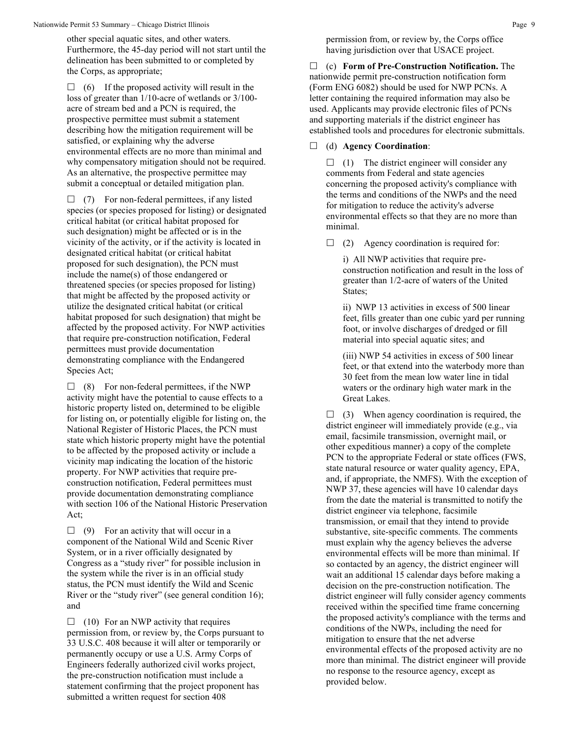other special aquatic sites, and other waters. Furthermore, the 45-day period will not start until the delineation has been submitted to or completed by the Corps, as appropriate;

 $\Box$  (6) If the proposed activity will result in the loss of greater than 1/10-acre of wetlands or 3/100 acre of stream bed and a PCN is required, the prospective permittee must submit a statement describing how the mitigation requirement will be satisfied, or explaining why the adverse environmental effects are no more than minimal and why compensatory mitigation should not be required. As an alternative, the prospective permittee may submit a conceptual or detailed mitigation plan.

 $\Box$  (7) For non-federal permittees, if any listed species (or species proposed for listing) or designated critical habitat (or critical habitat proposed for such designation) might be affected or is in the vicinity of the activity, or if the activity is located in designated critical habitat (or critical habitat proposed for such designation), the PCN must include the name(s) of those endangered or threatened species (or species proposed for listing) that might be affected by the proposed activity or utilize the designated critical habitat (or critical habitat proposed for such designation) that might be affected by the proposed activity. For NWP activities that require pre-construction notification, Federal permittees must provide documentation demonstrating compliance with the Endangered Species Act;

 $\Box$  (8) For non-federal permittees, if the NWP activity might have the potential to cause effects to a historic property listed on, determined to be eligible for listing on, or potentially eligible for listing on, the National Register of Historic Places, the PCN must state which historic property might have the potential to be affected by the proposed activity or include a vicinity map indicating the location of the historic property. For NWP activities that require preconstruction notification, Federal permittees must provide documentation demonstrating compliance with section 106 of the National Historic Preservation Act;

 $\Box$  (9) For an activity that will occur in a component of the National Wild and Scenic River System, or in a river officially designated by Congress as a "study river" for possible inclusion in the system while the river is in an official study status, the PCN must identify the Wild and Scenic River or the "study river" (see general condition 16); and

 $\Box$  (10) For an NWP activity that requires permission from, or review by, the Corps pursuant to 33 U.S.C. 408 because it will alter or temporarily or permanently occupy or use a U.S. Army Corps of Engineers federally authorized civil works project, the pre-construction notification must include a statement confirming that the project proponent has submitted a written request for section 408

permission from, or review by, the Corps office having jurisdiction over that USACE project.

 (c) **Form of Pre-Construction Notification.** The nationwide permit pre-construction notification form (Form ENG 6082) should be used for NWP PCNs. A letter containing the required information may also be used. Applicants may provide electronic files of PCNs and supporting materials if the district engineer has established tools and procedures for electronic submittals.

(d) **Agency Coordination**:

 $\Box$  (1) The district engineer will consider any comments from Federal and state agencies concerning the proposed activity's compliance with the terms and conditions of the NWPs and the need for mitigation to reduce the activity's adverse environmental effects so that they are no more than minimal.

 $\Box$  (2) Agency coordination is required for:

i) All NWP activities that require preconstruction notification and result in the loss of greater than 1/2-acre of waters of the United States;

ii) NWP 13 activities in excess of 500 linear feet, fills greater than one cubic yard per running foot, or involve discharges of dredged or fill material into special aquatic sites; and

(iii) NWP 54 activities in excess of 500 linear feet, or that extend into the waterbody more than 30 feet from the mean low water line in tidal waters or the ordinary high water mark in the Great Lakes.

 $\Box$  (3) When agency coordination is required, the district engineer will immediately provide (e.g., via email, facsimile transmission, overnight mail, or other expeditious manner) a copy of the complete PCN to the appropriate Federal or state offices (FWS, state natural resource or water quality agency, EPA, and, if appropriate, the NMFS). With the exception of NWP 37, these agencies will have 10 calendar days from the date the material is transmitted to notify the district engineer via telephone, facsimile transmission, or email that they intend to provide substantive, site-specific comments. The comments must explain why the agency believes the adverse environmental effects will be more than minimal. If so contacted by an agency, the district engineer will wait an additional 15 calendar days before making a decision on the pre-construction notification. The district engineer will fully consider agency comments received within the specified time frame concerning the proposed activity's compliance with the terms and conditions of the NWPs, including the need for mitigation to ensure that the net adverse environmental effects of the proposed activity are no more than minimal. The district engineer will provide no response to the resource agency, except as provided below.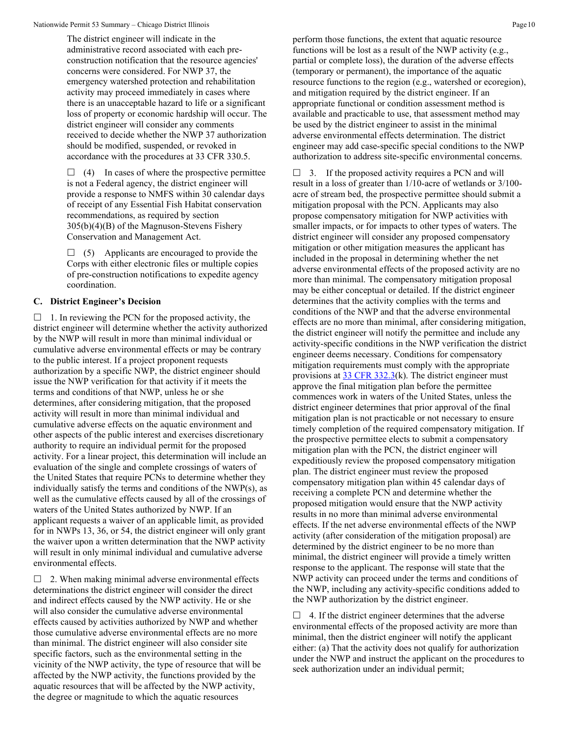The district engineer will indicate in the administrative record associated with each preconstruction notification that the resource agencies' concerns were considered. For NWP 37, the emergency watershed protection and rehabilitation activity may proceed immediately in cases where there is an unacceptable hazard to life or a significant loss of property or economic hardship will occur. The district engineer will consider any comments received to decide whether the NWP 37 authorization should be modified, suspended, or revoked in accordance with the procedures at 33 CFR 330.5.

 $\Box$  (4) In cases of where the prospective permittee is not a Federal agency, the district engineer will provide a response to NMFS within 30 calendar days of receipt of any Essential Fish Habitat conservation recommendations, as required by section 305(b)(4)(B) of the Magnuson-Stevens Fishery Conservation and Management Act.

 $\Box$  (5) Applicants are encouraged to provide the Corps with either electronic files or multiple copies of pre-construction notifications to expedite agency coordination.

#### **C. District Engineer's Decision**

 $\Box$  1. In reviewing the PCN for the proposed activity, the district engineer will determine whether the activity authorized by the NWP will result in more than minimal individual or cumulative adverse environmental effects or may be contrary to the public interest. If a project proponent requests authorization by a specific NWP, the district engineer should issue the NWP verification for that activity if it meets the terms and conditions of that NWP, unless he or she determines, after considering mitigation, that the proposed activity will result in more than minimal individual and cumulative adverse effects on the aquatic environment and other aspects of the public interest and exercises discretionary authority to require an individual permit for the proposed activity. For a linear project, this determination will include an evaluation of the single and complete crossings of waters of the United States that require PCNs to determine whether they individually satisfy the terms and conditions of the NWP(s), as well as the cumulative effects caused by all of the crossings of waters of the United States authorized by NWP. If an applicant requests a waiver of an applicable limit, as provided for in NWPs 13, 36, or 54, the district engineer will only grant the waiver upon a written determination that the NWP activity will result in only minimal individual and cumulative adverse environmental effects.

 $\Box$  2. When making minimal adverse environmental effects determinations the district engineer will consider the direct and indirect effects caused by the NWP activity. He or she will also consider the cumulative adverse environmental effects caused by activities authorized by NWP and whether those cumulative adverse environmental effects are no more than minimal. The district engineer will also consider site specific factors, such as the environmental setting in the vicinity of the NWP activity, the type of resource that will be affected by the NWP activity, the functions provided by the aquatic resources that will be affected by the NWP activity, the degree or magnitude to which the aquatic resources

perform those functions, the extent that aquatic resource functions will be lost as a result of the NWP activity (e.g., partial or complete loss), the duration of the adverse effects (temporary or permanent), the importance of the aquatic resource functions to the region (e.g., watershed or ecoregion), and mitigation required by the district engineer. If an appropriate functional or condition assessment method is available and practicable to use, that assessment method may be used by the district engineer to assist in the minimal adverse environmental effects determination. The district engineer may add case-specific special conditions to the NWP authorization to address site-specific environmental concerns.

 $\Box$  3. If the proposed activity requires a PCN and will result in a loss of greater than 1/10-acre of wetlands or 3/100 acre of stream bed, the prospective permittee should submit a mitigation proposal with the PCN. Applicants may also propose compensatory mitigation for NWP activities with smaller impacts, or for impacts to other types of waters. The district engineer will consider any proposed compensatory mitigation or other mitigation measures the applicant has included in the proposal in determining whether the net adverse environmental effects of the proposed activity are no more than minimal. The compensatory mitigation proposal may be either conceptual or detailed. If the district engineer determines that the activity complies with the terms and conditions of the NWP and that the adverse environmental effects are no more than minimal, after considering mitigation, the district engineer will notify the permittee and include any activity-specific conditions in the NWP verification the district engineer deems necessary. Conditions for compensatory mitigation requirements must comply with the appropriate provisions at  $33 \text{ CFR } 332.3(k)$ . The district engineer must approve the final mitigation plan before the permittee commences work in waters of the United States, unless the district engineer determines that prior approval of the final mitigation plan is not practicable or not necessary to ensure timely completion of the required compensatory mitigation. If the prospective permittee elects to submit a compensatory mitigation plan with the PCN, the district engineer will expeditiously review the proposed compensatory mitigation plan. The district engineer must review the proposed compensatory mitigation plan within 45 calendar days of receiving a complete PCN and determine whether the proposed mitigation would ensure that the NWP activity results in no more than minimal adverse environmental effects. If the net adverse environmental effects of the NWP activity (after consideration of the mitigation proposal) are determined by the district engineer to be no more than minimal, the district engineer will provide a timely written response to the applicant. The response will state that the NWP activity can proceed under the terms and conditions of the NWP, including any activity-specific conditions added to the NWP authorization by the district engineer.

 $\Box$  4. If the district engineer determines that the adverse environmental effects of the proposed activity are more than minimal, then the district engineer will notify the applicant either: (a) That the activity does not qualify for authorization under the NWP and instruct the applicant on the procedures to seek authorization under an individual permit;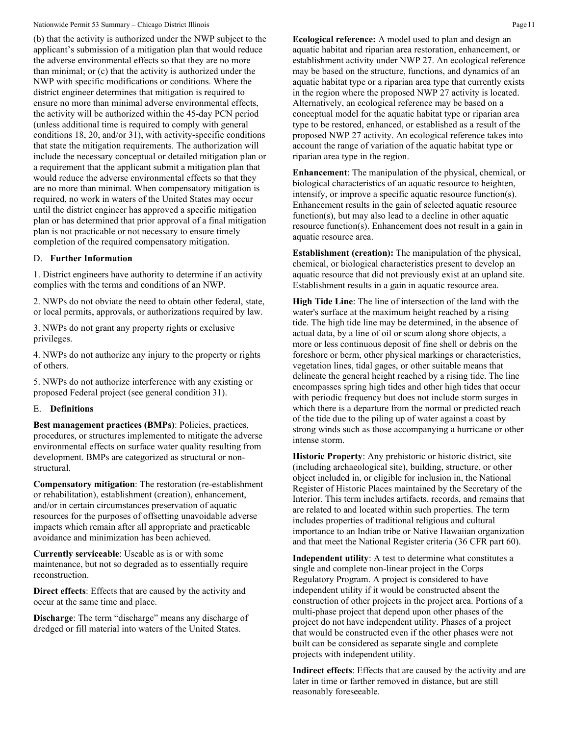(b) that the activity is authorized under the NWP subject to the applicant's submission of a mitigation plan that would reduce the adverse environmental effects so that they are no more than minimal; or (c) that the activity is authorized under the NWP with specific modifications or conditions. Where the district engineer determines that mitigation is required to ensure no more than minimal adverse environmental effects, the activity will be authorized within the 45-day PCN period (unless additional time is required to comply with general conditions 18, 20, and/or 31), with activity-specific conditions that state the mitigation requirements. The authorization will include the necessary conceptual or detailed mitigation plan or a requirement that the applicant submit a mitigation plan that would reduce the adverse environmental effects so that they are no more than minimal. When compensatory mitigation is required, no work in waters of the United States may occur until the district engineer has approved a specific mitigation plan or has determined that prior approval of a final mitigation plan is not practicable or not necessary to ensure timely completion of the required compensatory mitigation.

#### D. **Further Information**

1. District engineers have authority to determine if an activity complies with the terms and conditions of an NWP.

2. NWPs do not obviate the need to obtain other federal, state, or local permits, approvals, or authorizations required by law.

3. NWPs do not grant any property rights or exclusive privileges.

4. NWPs do not authorize any injury to the property or rights of others.

5. NWPs do not authorize interference with any existing or proposed Federal project (see general condition 31).

#### E. **Definitions**

**Best management practices (BMPs)**: Policies, practices, procedures, or structures implemented to mitigate the adverse environmental effects on surface water quality resulting from development. BMPs are categorized as structural or nonstructural.

**Compensatory mitigation**: The restoration (re-establishment or rehabilitation), establishment (creation), enhancement, and/or in certain circumstances preservation of aquatic resources for the purposes of offsetting unavoidable adverse impacts which remain after all appropriate and practicable avoidance and minimization has been achieved.

**Currently serviceable**: Useable as is or with some maintenance, but not so degraded as to essentially require reconstruction.

**Direct effects**: Effects that are caused by the activity and occur at the same time and place.

**Discharge:** The term "discharge" means any discharge of dredged or fill material into waters of the United States.

**Ecological reference:** A model used to plan and design an aquatic habitat and riparian area restoration, enhancement, or establishment activity under NWP 27. An ecological reference may be based on the structure, functions, and dynamics of an aquatic habitat type or a riparian area type that currently exists in the region where the proposed NWP 27 activity is located. Alternatively, an ecological reference may be based on a conceptual model for the aquatic habitat type or riparian area type to be restored, enhanced, or established as a result of the proposed NWP 27 activity. An ecological reference takes into account the range of variation of the aquatic habitat type or riparian area type in the region.

**Enhancement**: The manipulation of the physical, chemical, or biological characteristics of an aquatic resource to heighten, intensify, or improve a specific aquatic resource function(s). Enhancement results in the gain of selected aquatic resource function(s), but may also lead to a decline in other aquatic resource function(s). Enhancement does not result in a gain in aquatic resource area.

**Establishment (creation):** The manipulation of the physical, chemical, or biological characteristics present to develop an aquatic resource that did not previously exist at an upland site. Establishment results in a gain in aquatic resource area.

**High Tide Line**: The line of intersection of the land with the water's surface at the maximum height reached by a rising tide. The high tide line may be determined, in the absence of actual data, by a line of oil or scum along shore objects, a more or less continuous deposit of fine shell or debris on the foreshore or berm, other physical markings or characteristics, vegetation lines, tidal gages, or other suitable means that delineate the general height reached by a rising tide. The line encompasses spring high tides and other high tides that occur with periodic frequency but does not include storm surges in which there is a departure from the normal or predicted reach of the tide due to the piling up of water against a coast by strong winds such as those accompanying a hurricane or other intense storm.

**Historic Property**: Any prehistoric or historic district, site (including archaeological site), building, structure, or other object included in, or eligible for inclusion in, the National Register of Historic Places maintained by the Secretary of the Interior. This term includes artifacts, records, and remains that are related to and located within such properties. The term includes properties of traditional religious and cultural importance to an Indian tribe or Native Hawaiian organization and that meet the National Register criteria (36 CFR part 60).

**Independent utility**: A test to determine what constitutes a single and complete non-linear project in the Corps Regulatory Program. A project is considered to have independent utility if it would be constructed absent the construction of other projects in the project area. Portions of a multi-phase project that depend upon other phases of the project do not have independent utility. Phases of a project that would be constructed even if the other phases were not built can be considered as separate single and complete projects with independent utility.

**Indirect effects**: Effects that are caused by the activity and are later in time or farther removed in distance, but are still reasonably foreseeable.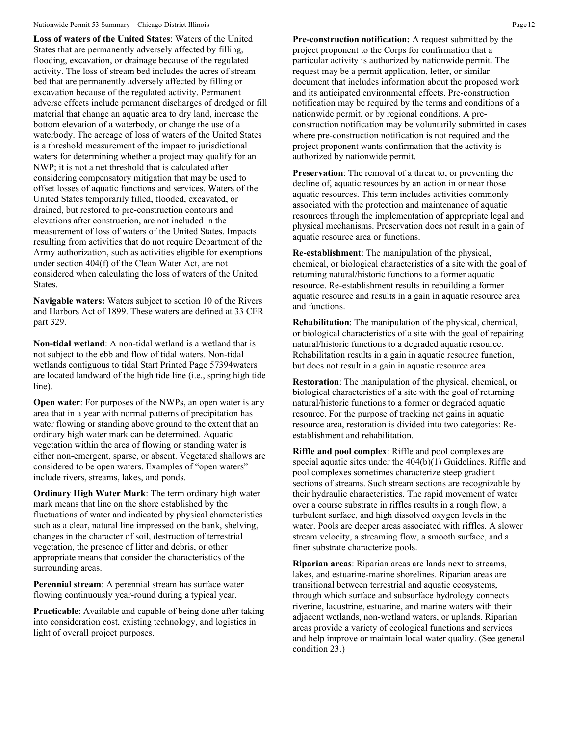**Loss of waters of the United States**: Waters of the United States that are permanently adversely affected by filling, flooding, excavation, or drainage because of the regulated activity. The loss of stream bed includes the acres of stream bed that are permanently adversely affected by filling or excavation because of the regulated activity. Permanent adverse effects include permanent discharges of dredged or fill material that change an aquatic area to dry land, increase the bottom elevation of a waterbody, or change the use of a waterbody. The acreage of loss of waters of the United States is a threshold measurement of the impact to jurisdictional waters for determining whether a project may qualify for an NWP; it is not a net threshold that is calculated after considering compensatory mitigation that may be used to offset losses of aquatic functions and services. Waters of the United States temporarily filled, flooded, excavated, or drained, but restored to pre-construction contours and elevations after construction, are not included in the measurement of loss of waters of the United States. Impacts resulting from activities that do not require Department of the Army authorization, such as activities eligible for exemptions under section 404(f) of the Clean Water Act, are not considered when calculating the loss of waters of the United States.

**Navigable waters:** Waters subject to section 10 of the Rivers and Harbors Act of 1899. These waters are defined at 33 CFR part 329.

**Non-tidal wetland**: A non-tidal wetland is a wetland that is not subject to the ebb and flow of tidal waters. Non-tidal wetlands contiguous to tidal Start Printed Page 57394waters are located landward of the high tide line (i.e., spring high tide line).

**Open water**: For purposes of the NWPs, an open water is any area that in a year with normal patterns of precipitation has water flowing or standing above ground to the extent that an ordinary high water mark can be determined. Aquatic vegetation within the area of flowing or standing water is either non-emergent, sparse, or absent. Vegetated shallows are considered to be open waters. Examples of "open waters" include rivers, streams, lakes, and ponds.

**Ordinary High Water Mark**: The term ordinary high water mark means that line on the shore established by the fluctuations of water and indicated by physical characteristics such as a clear, natural line impressed on the bank, shelving, changes in the character of soil, destruction of terrestrial vegetation, the presence of litter and debris, or other appropriate means that consider the characteristics of the surrounding areas.

**Perennial stream**: A perennial stream has surface water flowing continuously year-round during a typical year.

**Practicable**: Available and capable of being done after taking into consideration cost, existing technology, and logistics in light of overall project purposes.

**Pre-construction notification:** A request submitted by the project proponent to the Corps for confirmation that a particular activity is authorized by nationwide permit. The request may be a permit application, letter, or similar document that includes information about the proposed work and its anticipated environmental effects. Pre-construction notification may be required by the terms and conditions of a nationwide permit, or by regional conditions. A preconstruction notification may be voluntarily submitted in cases where pre-construction notification is not required and the project proponent wants confirmation that the activity is authorized by nationwide permit.

**Preservation**: The removal of a threat to, or preventing the decline of, aquatic resources by an action in or near those aquatic resources. This term includes activities commonly associated with the protection and maintenance of aquatic resources through the implementation of appropriate legal and physical mechanisms. Preservation does not result in a gain of aquatic resource area or functions.

**Re-establishment**: The manipulation of the physical, chemical, or biological characteristics of a site with the goal of returning natural/historic functions to a former aquatic resource. Re-establishment results in rebuilding a former aquatic resource and results in a gain in aquatic resource area and functions.

**Rehabilitation**: The manipulation of the physical, chemical, or biological characteristics of a site with the goal of repairing natural/historic functions to a degraded aquatic resource. Rehabilitation results in a gain in aquatic resource function, but does not result in a gain in aquatic resource area.

**Restoration**: The manipulation of the physical, chemical, or biological characteristics of a site with the goal of returning natural/historic functions to a former or degraded aquatic resource. For the purpose of tracking net gains in aquatic resource area, restoration is divided into two categories: Reestablishment and rehabilitation.

**Riffle and pool complex**: Riffle and pool complexes are special aquatic sites under the 404(b)(1) Guidelines. Riffle and pool complexes sometimes characterize steep gradient sections of streams. Such stream sections are recognizable by their hydraulic characteristics. The rapid movement of water over a course substrate in riffles results in a rough flow, a turbulent surface, and high dissolved oxygen levels in the water. Pools are deeper areas associated with riffles. A slower stream velocity, a streaming flow, a smooth surface, and a finer substrate characterize pools.

**Riparian areas**: Riparian areas are lands next to streams, lakes, and estuarine-marine shorelines. Riparian areas are transitional between terrestrial and aquatic ecosystems, through which surface and subsurface hydrology connects riverine, lacustrine, estuarine, and marine waters with their adjacent wetlands, non-wetland waters, or uplands. Riparian areas provide a variety of ecological functions and services and help improve or maintain local water quality. (See general condition 23.)